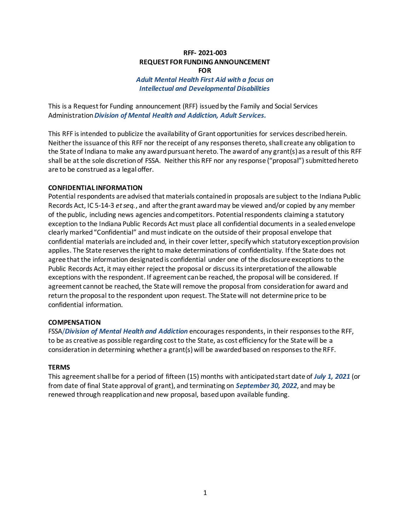## **RFF- 2021-003 REQUEST FOR FUNDING ANNOUNCEMENT FOR**

## *Adult Mental Health First Aid with a focus on Intellectual and Developmental Disabilities*

This is a Request for Funding announcement (RFF) issued by the Family and Social Services Administration *Division of Mental Health and Addiction, Adult Services.*

This RFF is intended to publicize the availability of Grant opportunities for services described herein. Neither the issuance of this RFF nor the receipt of any responses thereto, shall create any obligation to the State of Indiana to make any award pursuant hereto. The award of any grant(s) as a result of this RFF shall be at the sole discretion of FSSA. Neither this RFF nor any response ("proposal") submitted hereto are to be construed as a legal offer.

### **CONFIDENTIAL INFORMATION**

Potential respondents are advised that materials contained in proposals are subject to the Indiana Public Records Act, IC 5-14-3 *et seq.*, and after the grant award may be viewed and/or copied by any member of the public, including news agencies and competitors. Potential respondents claiming a statutory exception to the Indiana Public Records Act must place all confidential documents in a sealed envelope clearly marked "Confidential" and must indicate on the outside of their proposal envelope that confidential materials are included and, in their cover letter, specify which statutory exception provision applies. The State reserves the right to make determinations of confidentiality. If the State does not agree that the information designated is confidential under one of the disclosure exceptions to the Public Records Act, it may either reject the proposal or discuss its interpretation of the allowable exceptions with the respondent. If agreement can be reached, the proposal will be considered. If agreement cannot be reached, the State will remove the proposal from consideration for award and return the proposal to the respondent upon request. The State will not determine price to be confidential information.

#### **COMPENSATION**

FSSA/*Division of Mental Health and Addiction* encourages respondents, in their responses to the RFF, to be as creative as possible regarding cost to the State, as cost efficiency for the State will be a consideration in determining whether a grant(s) will be awarded based on responses to the RFF.

#### **TERMS**

This agreement shall be for a period of fifteen (15) months with anticipated start date of *July 1, 2021* (or from date of final State approval of grant), and terminating on *September 30, 2022*, and may be renewed through reapplication and new proposal, based upon available funding.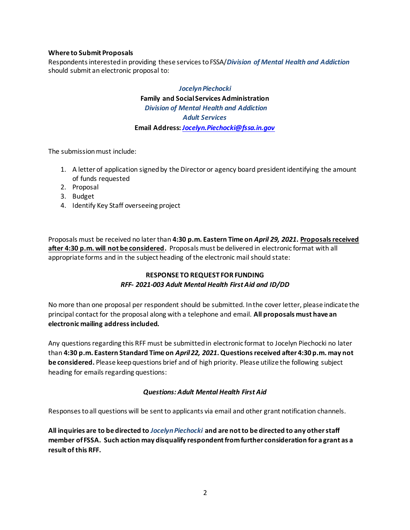## **Where to Submit Proposals**

Respondents interested in providing these services to FSSA/*Division of Mental Health and Addiction* should submit an electronic proposal to:

# *Jocelyn Piechocki* **Family and Social Services Administration** *Division of Mental Health and Addiction Adult Services* **Email Address:** *Jocelyn.Piechocki@fssa.in.gov*

The submission must include:

- 1. A letter of application signed by the Director or agency board president identifying the amount of funds requested
- 2. Proposal
- 3. Budget
- 4. Identify Key Staff overseeing project

Proposals must be received no later than **4:30 p.m. Eastern Time on** *April 29, 2021***. Proposals received after 4:30 p.m. will not be considered.** Proposals must be delivered in electronic format with all appropriate forms and in the subject heading of the electronic mail should state:

## **RESPONSE TO REQUEST FOR FUNDING** *RFF- 2021-003 Adult Mental Health First Aid and ID/DD*

No more than one proposal per respondent should be submitted. In the cover letter, please indicate the principal contact for the proposal along with a telephone and email. **All proposals must have an electronic mailing address included.**

Any questions regarding this RFF must be submitted in electronic format to Jocelyn Piechocki no later than **4:30 p.m. Eastern Standard Time on** *April 22, 2021***.Questions received after 4:30 p.m. may not be considered.** Please keep questions brief and of high priority. Please utilize the following subject heading for emails regarding questions:

### *Questions: Adult Mental Health First Aid*

Responses to all questions will be sent to applicants via email and other grant notification channels.

**All inquiries are to be directed to** *Jocelyn Piechocki* **and are not to be directed to any other staff member of FSSA. Such action may disqualify respondent from further consideration for a grant as a result of this RFF.**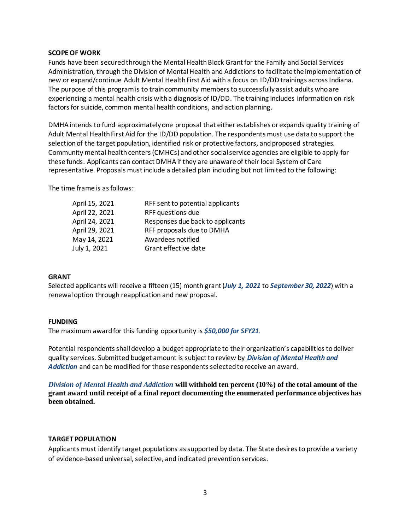#### **SCOPE OF WORK**

Funds have been secured through the Mental Health Block Grant for the Family and Social Services Administration, through the Division of Mental Health and Addictions to facilitate the implementation of new or expand/continue Adult Mental Health First Aid with a focus on ID/DD trainings across Indiana. The purpose of this program is to train community members to successfully assist adults who are experiencing a mental health crisis with a diagnosis of ID/DD. The training includes information on risk factors for suicide, common mental health conditions, and action planning.

DMHA intends to fund approximately one proposal that either establishes or expands quality training of Adult Mental Health First Aid for the ID/DD population. The respondents must use data to support the selection of the target population, identified risk or protective factors, and proposed strategies. Community mental health centers (CMHCs) and other social service agencies are eligible to apply for these funds. Applicants can contact DMHA if they are unaware of their local System of Care representative. Proposals must include a detailed plan including but not limited to the following:

The time frame is as follows:

| April 15, 2021 | RFF sent to potential applicants |
|----------------|----------------------------------|
| April 22, 2021 | RFF questions due                |
| April 24, 2021 | Responses due back to applicants |
| April 29, 2021 | RFF proposals due to DMHA        |
| May 14, 2021   | Awardees notified                |
| July 1, 2021   | Grant effective date             |
|                |                                  |

### **GRANT**

Selected applicants will receive a fifteen (15) month grant (*July 1, 2021* to *September 30, 2022*) with a renewal option through reapplication and new proposal.

#### **FUNDING**

The maximum award for this funding opportunity is *\$50,000 for SFY21.*

Potential respondents shall develop a budget appropriate to their organization's capabilities to deliver quality services. Submitted budget amount is subject to review by *Division of Mental Health and Addiction* and can be modified for those respondents selected to receive an award.

*Division of Mental Health and Addiction* **will withhold ten percent (10%) of the total amount of the grant award until receipt of a final report documenting the enumerated performance objectives has been obtained.** 

### **TARGET POPULATION**

Applicants must identify target populations as supported by data. The State desires to provide a variety of evidence-based universal, selective, and indicated prevention services.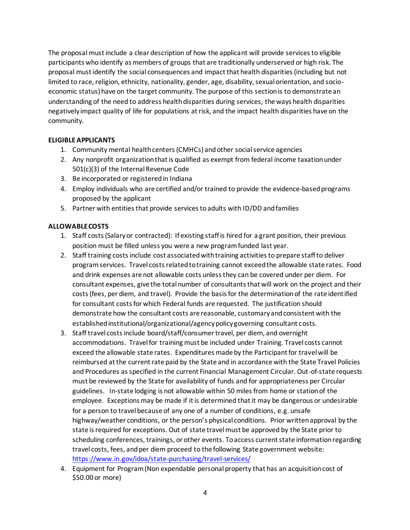The proposal must include a clear description of how the applicant will provide services to eligible participants who identify as members of groups that are traditionally underserved or high risk. The proposal must identify the social consequences and impact that health disparities (including but not limited to race, religion, ethnicity, nationality, gender, age, disability, sexual orientation, and socioeconomic status) have on the target community. The purpose of this section is to demonstrate an understanding of the need to address health disparities during services, the ways health disparities negatively impact quality of life for populations at risk, and the impact health disparities have on the community.

## **ELIGIBLE APPLICANTS**

- 1. Community mental health centers (CMHCs) and other social service agencies
- 2. Any nonprofit organization that is qualified as exempt from federal income taxation under 501(c)(3) of the Internal Revenue Code
- 3. Be incorporated or registered in Indiana
- 4. Employ individuals who are certified and/or trained to provide the evidence-based programs proposed by the applicant
- 5. Partner with entities that provide services to adults with ID/DD and families

## **ALLOWABLE COSTS**

- 1. Staff costs (Salary or contracted): If existing staff is hired for a grant position, their previous position must be filled unless you were a new program funded last year.
- 2. Staff training costs include cost associated with training activities to prepare staff to deliver program services. Travel costs related to training cannot exceed the allowable state rates. Food and drink expenses are not allowable costs unless they can be covered under per diem. For consultant expenses, give the total number of consultants that will work on the project and their costs (fees, per diem, and travel). Provide the basis for the determination of the rate identified for consultant costs for which Federal funds are requested. The justification should demonstrate how the consultant costs are reasonable, customary and consistent with the established institutional/organizational/agency policy governing consultant costs.
- 3. Staff travel costs include board/staff/consumer travel, per diem, and overnight accommodations. Travel for training must be included under Training. Travel costs cannot exceed the allowable state rates. Expenditures made by the Participant for travel will be reimbursed at the current rate paid by the State and in accordance with the State Travel Policies and Procedures as specified in the current Financial Management Circular. Out-of-state requests must be reviewed by the State for availability of funds and for appropriateness per Circular guidelines. In-state lodging is not allowable within 50 miles from home or station of the employee. Exceptions may be made if it is determined that it may be dangerous or undesirable for a person to travel because of any one of a number of conditions, e.g. unsafe highway/weather conditions, or the person's physical conditions. Prior written approval by the state is required for exceptions. Out of state travel must be approved by the State prior to scheduling conferences, trainings, or other events. To access current state information regarding travel costs, fees, and per diem proceed to the following State government website: <https://www.in.gov/idoa/state-purchasing/travel-services/>
- 4. Equipment for Program (Non expendable personal property that has an acquisition cost of \$50.00 or more)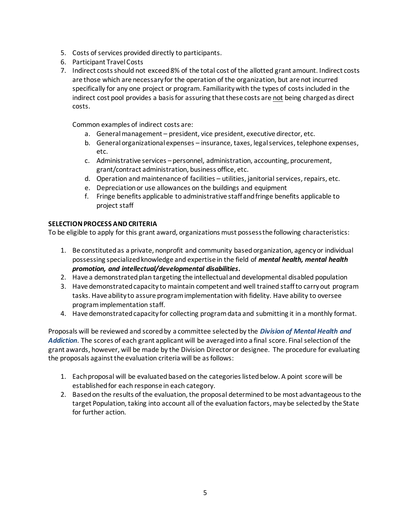- 5. Costs of services provided directly to participants.
- 6. Participant Travel Costs
- 7. Indirect costs should not exceed 8% of the total cost of the allotted grant amount. Indirect costs are those which are necessary for the operation of the organization, but are not incurred specifically for any one project or program. Familiarity with the types of costs included in the indirect cost pool provides a basis for assuring that these costs are not being charged as direct costs.

Common examples of indirect costs are:

- a. General management president, vice president, executive director, etc.
- b. General organizational expenses insurance, taxes, legal services, telephone expenses, etc.
- c. Administrative services personnel, administration, accounting, procurement, grant/contract administration, business office, etc.
- d. Operation and maintenance of facilities utilities, janitorial services, repairs, etc.
- e. Depreciation or use allowances on the buildings and equipment
- f. Fringe benefits applicable to administrative staff and fringe benefits applicable to project staff

## **SELECTION PROCESS AND CRITERIA**

To be eligible to apply for this grant award, organizations must possess the following characteristics:

- 1. Be constituted as a private, nonprofit and community based organization, agency or individual possessing specialized knowledge and expertise in the field of *mental health, mental health promotion, and intellectual/developmental disabilities.*
- 2. Have a demonstrated plan targeting the intellectual and developmental disabled population
- 3. Have demonstrated capacity to maintain competent and well trained staff to carry out program tasks. Have ability to assure program implementation with fidelity. Have ability to oversee program implementation staff.
- 4. Have demonstrated capacity for collecting program data and submitting it in a monthly format.

Proposals will be reviewed and scored by a committee selected by the *Division of Mental Health and Addiction*. The scores of each grant applicant will be averaged into a final score. Final selection of the grant awards, however, will be made by the Division Director or designee. The procedure for evaluating the proposals against the evaluation criteria will be as follows:

- 1. Each proposal will be evaluated based on the categories listed below. A point score will be established for each response in each category.
- 2. Based on the results of the evaluation, the proposal determined to be most advantageous to the target Population, taking into account all of the evaluation factors, may be selected by the State for further action.